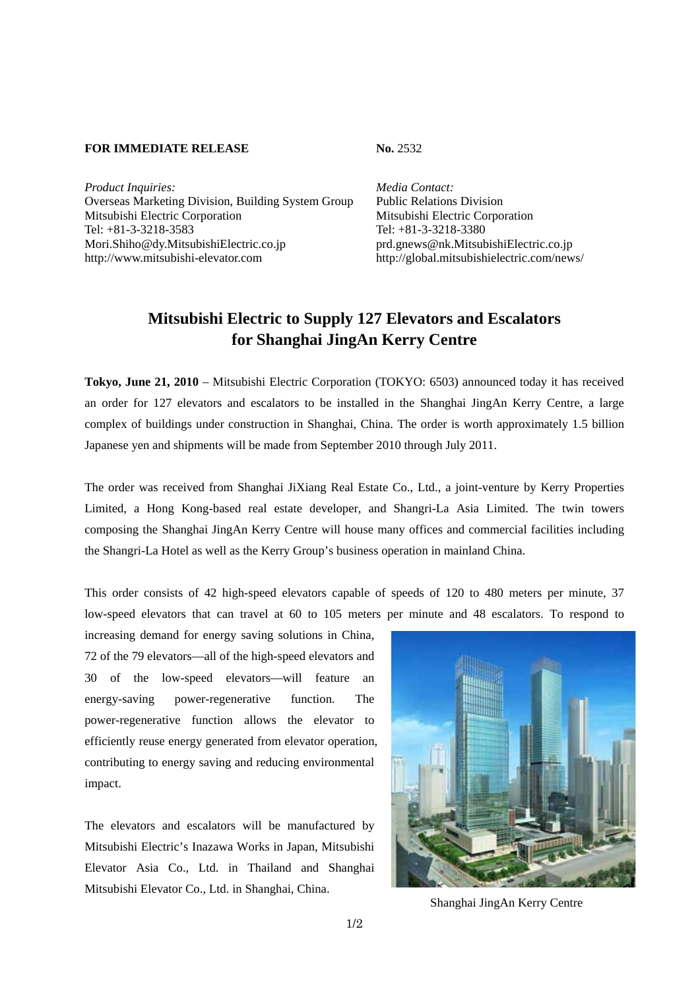## **FOR IMMEDIATE RELEASE No. 2532**

Product Inquiries: Media Contact: Overseas Marketing Division, Building System Group Public Relations Division Mitsubishi Electric Corporation Mitsubishi Electric Corporation Tel: +81-3-3218-3583 Tel: +81-3-3218-3380 Mori.Shiho@dy.MitsubishiElectric.co.jp prd.gnews@nk.MitsubishiElectric.co.jp http://www.mitsubishi-elevator.com http://global.mitsubishielectric.com/news/

## **Mitsubishi Electric to Supply 127 Elevators and Escalators for Shanghai JingAn Kerry Centre**

**Tokyo, June 21, 2010** – Mitsubishi Electric Corporation (TOKYO: 6503) announced today it has received an order for 127 elevators and escalators to be installed in the Shanghai JingAn Kerry Centre, a large complex of buildings under construction in Shanghai, China. The order is worth approximately 1.5 billion Japanese yen and shipments will be made from September 2010 through July 2011.

The order was received from Shanghai JiXiang Real Estate Co., Ltd., a joint-venture by Kerry Properties Limited, a Hong Kong-based real estate developer, and Shangri-La Asia Limited. The twin towers composing the Shanghai JingAn Kerry Centre will house many offices and commercial facilities including the Shangri-La Hotel as well as the Kerry Group's business operation in mainland China.

This order consists of 42 high-speed elevators capable of speeds of 120 to 480 meters per minute, 37 low-speed elevators that can travel at 60 to 105 meters per minute and 48 escalators. To respond to

increasing demand for energy saving solutions in China, 72 of the 79 elevators—all of the high-speed elevators and 30 of the low-speed elevators—will feature an energy-saving power-regenerative function. The power-regenerative function allows the elevator to efficiently reuse energy generated from elevator operation, contributing to energy saving and reducing environmental impact.

The elevators and escalators will be manufactured by Mitsubishi Electric's Inazawa Works in Japan, Mitsubishi Elevator Asia Co., Ltd. in Thailand and Shanghai Mitsubishi Elevator Co., Ltd. in Shanghai, China.



Shanghai JingAn Kerry Centre